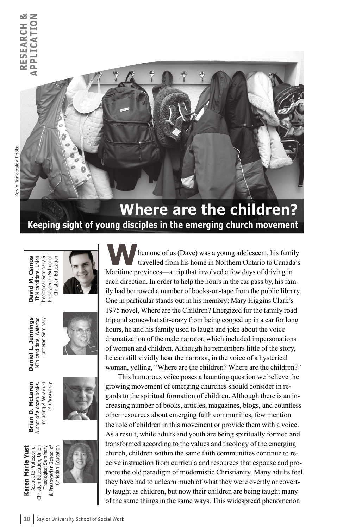

# **Where are the children? Keeping sight of young disciples in the emerging church movement**

**David M. Csinos**<br>
ThM candidate, Union<br>Theological Seminary &<br>Presbyterian School of<br>
Christian Education



**Daniel L. Jennings**<br>MTh candidate, Waterloo<br>Lutheran Seminary



**Brian D. McLaren** Author of a dozen books, including *A New Kind of Christianity*



**W**hen one of us (Dave) was a young adolescent, his family travelled from his home in Northern Ontario to Canada's Maritime provinces—a trip that involved a few days of driving in each direction. In order to help the hours in the car pass by, his family had borrowed a number of books-on-tape from the public library. One in particular stands out in his memory: Mary Higgins Clark's 1975 novel, Where are the Children? Energized for the family road trip and somewhat stir-crazy from being cooped up in a car for long hours, he and his family used to laugh and joke about the voice dramatization of the male narrator, which included impersonations of women and children. Although he remembers little of the story, he can still vividly hear the narrator, in the voice of a hysterical woman, yelling, "Where are the children? Where are the children?"

This humorous voice poses a haunting question we believe the growing movement of emerging churches should consider in regards to the spiritual formation of children. Although there is an increasing number of books, articles, magazines, blogs, and countless other resources about emerging faith communities, few mention the role of children in this movement or provide them with a voice. As a result, while adults and youth are being spiritually formed and transformed according to the values and theology of the emerging church, children within the same faith communities continue to receive instruction from curricula and resources that espouse and promote the old paradigm of modernistic Christianity. Many adults feel they have had to unlearn much of what they were overtly or covertly taught as children, but now their children are being taught many of the same things in the same ways. This widespread phenomenon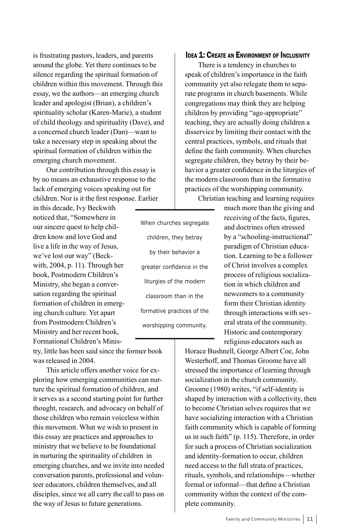is frustrating pastors, leaders, and parents around the globe. Yet there continues to be silence regarding the spiritual formation of children within this movement. Through this essay, we the authors—an emerging church leader and apologist (Brian), a children's spirituality scholar (Karen-Marie), a student of child theology and spirituality (Dave), and a concerned church leader (Dan)—want to take a necessary step in speaking about the spiritual formation of children within the emerging church movement.

Our contribution through this essay is by no means an exhaustive response to the lack of emerging voices speaking out for children. Nor is it the first response. Earlier

in this decade, Ivy Beckwith noticed that, "Somewhere in our sincere quest to help children know and love God and live a life in the way of Jesus, we've lost our way" (Beckwith, 2004, p. 11). Through her book, Postmodern Children's Ministry, she began a conversation regarding the spiritual formation of children in emerging church culture. Yet apart from Postmodern Children's Ministry and her recent book, Formational Children's Minis-

try, little has been said since the former book was released in 2004.

This article offers another voice for exploring how emerging communities can nurture the spiritual formation of children, and it serves as a second starting point for further thought, research, and advocacy on behalf of those children who remain voiceless within this movement. What we wish to present in this essay are practices and approaches to ministry that we believe to be foundational in nurturing the spirituality of children in emerging churches, and we invite into needed conversation parents, professional and volunteer educators, children themselves, and all disciples, since we all carry the call to pass on the way of Jesus to future generations.

When churches segregate children, they betray by their behavior a greater confidence in the liturgies of the modern classroom than in the formative practices of the worshipping community.

## **IDEA 1: CREATE AN ENVIRONMENT OF INCLUSIVITY**

There is a tendency in churches to speak of children's importance in the faith community yet also relegate them to separate programs in church basements. While congregations may think they are helping children by providing "age-appropriate" teaching, they are actually doing children a disservice by limiting their contact with the central practices, symbols, and rituals that define the faith community. When churches segregate children, they betray by their behavior a greater confidence in the liturgies of the modern classroom than in the formative practices of the worshipping community. Christian teaching and learning requires

> much more than the giving and receiving of the facts, figures, and doctrines often stressed by a "schooling-instructional" paradigm of Christian education. Learning to be a follower of Christ involves a complex process of religious socialization in which children and newcomers to a community form their Christian identity through interactions with several strata of the community. Historic and contemporary religious educators such as

Horace Bushnell, George Albert Coe, John Westerhoff, and Thomas Groome have all stressed the importance of learning through socialization in the church community. Groome (1980) writes, "if self-identity is shaped by interaction with a collectivity, then to become Christian selves requires that we have socializing interaction with a Christian faith community which is capable of forming us in such faith" (p. 115). Therefore, in order for such a process of Christian socialization and identity-formation to occur, children need access to the full strata of practices, rituals, symbols, and relationships—whether formal or informal—that define a Christian community within the context of the complete community.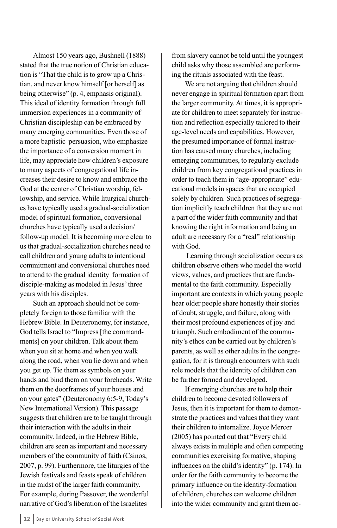Almost 150 years ago, Bushnell (1888) stated that the true notion of Christian education is "That the child is to grow up a Christian, and never know himself [or herself] as being otherwise" (p. 4, emphasis original). This ideal of identity formation through full immersion experiences in a community of Christian discipleship can be embraced by many emerging communities. Even those of a more baptistic persuasion, who emphasize the importance of a conversion moment in life, may appreciate how children's exposure to many aspects of congregational life increases their desire to know and embrace the God at the center of Christian worship, fellowship, and service. While liturgical churches have typically used a gradual-socialization model of spiritual formation, conversional churches have typically used a decision/ follow-up model. It is becoming more clear to us that gradual-socialization churches need to call children and young adults to intentional commitment and conversional churches need to attend to the gradual identity formation of disciple-making as modeled in Jesus' three years with his disciples.

Such an approach should not be completely foreign to those familiar with the Hebrew Bible. In Deuteronomy, for instance, God tells Israel to "Impress [the commandments] on your children. Talk about them when you sit at home and when you walk along the road, when you lie down and when you get up. Tie them as symbols on your hands and bind them on your foreheads. Write them on the doorframes of your houses and on your gates" (Deuteronomy 6:5-9, Today's New International Version). This passage suggests that children are to be taught through their interaction with the adults in their community. Indeed, in the Hebrew Bible, children are seen as important and necessary members of the community of faith (Csinos, 2007, p. 99). Furthermore, the liturgies of the Jewish festivals and feasts speak of children in the midst of the larger faith community. For example, during Passover, the wonderful narrative of God's liberation of the Israelites

from slavery cannot be told until the youngest child asks why those assembled are performing the rituals associated with the feast.

We are not arguing that children should never engage in spiritual formation apart from the larger community. At times, it is appropriate for children to meet separately for instruction and reflection especially tailored to their age-level needs and capabilities. However, the presumed importance of formal instruction has caused many churches, including emerging communities, to regularly exclude children from key congregational practices in order to teach them in "age-appropriate" educational models in spaces that are occupied solely by children. Such practices of segregation implicitly teach children that they are not a part of the wider faith community and that knowing the right information and being an adult are necessary for a "real" relationship with God.

 Learning through socialization occurs as children observe others who model the world views, values, and practices that are fundamental to the faith community. Especially important are contexts in which young people hear older people share honestly their stories of doubt, struggle, and failure, along with their most profound experiences of joy and triumph. Such embodiment of the community's ethos can be carried out by children's parents, as well as other adults in the congregation, for it is through encounters with such role models that the identity of children can be further formed and developed.

If emerging churches are to help their children to become devoted followers of Jesus, then it is important for them to demonstrate the practices and values that they want their children to internalize. Joyce Mercer (2005) has pointed out that "Every child always exists in multiple and often competing communities exercising formative, shaping influences on the child's identity" (p. 174). In order for the faith community to become the primary influence on the identity-formation of children, churches can welcome children into the wider community and grant them ac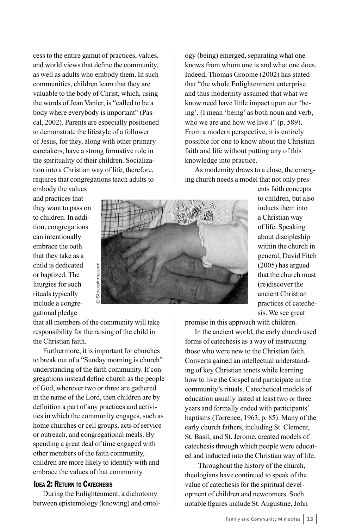cess to the entire gamut of practices, values, and world views that define the community, as well as adults who embody them. In such communities, children learn that they are valuable to the body of Christ, which, using the words of Jean Vanier, is "called to be a body where everybody is important" (Pascal, 2002). Parents are especially positioned to demonstrate the lifestyle of a follower of Jesus, for they, along with other primary caretakers, have a strong formative role in the spirituality of their children. Socialization into a Christian way of life, therefore, requires that congregations teach adults to

ogy (being) emerged, separating what one knows from whom one is and what one does. Indeed, Thomas Groome (2002) has stated that "the whole Enlightenment enterprise and thus modernity assumed that what we know need have little impact upon our 'being'. (I mean 'being' as both noun and verb, who we are and how we live.)" (p. 589). From a modern perspective, it is entirely possible for one to know about the Christian faith and life without putting any of this knowledge into practice.

As modernity draws to a close, the emerging church needs a model that not only pres-

embody the values and practices that they want to pass on to children. In addition, congregations can intentionally embrace the oath that they take as a child is dedicated or baptized. The liturgies for such rituals typically include a congregational pledge

that all members of the community will take responsibility for the raising of the child in the Christian faith.

Furthermore, it is important for churches to break out of a "Sunday morning is church" understanding of the faith community. If congregations instead define church as the people of God, wherever two or three are gathered in the name of the Lord, then children are by definition a part of any practices and activities in which the community engages, such as home churches or cell groups, acts of service or outreach, and congregational meals. By spending a great deal of time engaged with other members of the faith community, children are more likely to identify with and embrace the values of that community.

## **IDEA 2: RETURN TO CATECHESIS**

During the Enlightenment, a dichotomy between epistemology (knowing) and ontolents faith concepts to children, but also inducts them into a Christian way of life. Speaking about discipleship within the church in general, David Fitch (2005) has argued that the church must (re)discover the ancient Christian practices of catechesis. We see great

promise in this approach with children.

In the ancient world, the early church used forms of catechesis as a way of instructing those who were new to the Christian faith. Converts gained an intellectual understanding of key Christian tenets while learning how to live the Gospel and participate in the community's rituals. Catechetical models of education usually lasted at least two or three years and formally ended with participants' baptisms (Torrence, 1963, p. 85). Many of the early church fathers, including St. Clement, St. Basil, and St. Jerome, created models of catechesis through which people were educated and inducted into the Christian way of life.

Throughout the history of the church, theologians have continued to speak of the value of catechesis for the spiritual development of children and newcomers. Such notable figures include St. Augustine, John



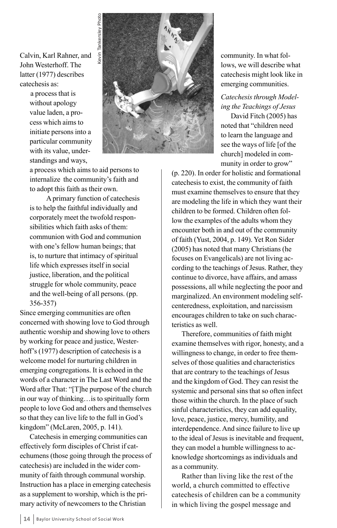Calvin, Karl Rahner, and John Westerhoff. The latter (1977) describes catechesis as:

> a process that is without apology value laden, a process which aims to initiate persons into a particular community with its value, understandings and ways,



a process which aims to aid persons to internalize the community's faith and to adopt this faith as their own.

A primary function of catechesis is to help the faithful individually and corporately meet the twofold responsibilities which faith asks of them: communion with God and communion with one's fellow human beings; that is, to nurture that intimacy of spiritual life which expresses itself in social justice, liberation, and the political struggle for whole community, peace and the well-being of all persons. (pp. 356-357)

Since emerging communities are often concerned with showing love to God through authentic worship and showing love to others by working for peace and justice, Westerhoff's (1977) description of catechesis is a welcome model for nurturing children in emerging congregations. It is echoed in the words of a character in The Last Word and the Word after That: "[T]he purpose of the church in our way of thinking…is to spiritually form people to love God and others and themselves so that they can live life to the full in God's kingdom" (McLaren, 2005, p. 141).

Catechesis in emerging communities can effectively form disciples of Christ if catechumens (those going through the process of catechesis) are included in the wider community of faith through communal worship. Instruction has a place in emerging catechesis as a supplement to worship, which is the primary activity of newcomers to the Christian

community. In what follows, we will describe what catechesis might look like in emerging communities.

# *Catechesis through Modeling the Teachings of Jesus*

David Fitch (2005) has noted that "children need to learn the language and see the ways of life [of the church] modeled in community in order to grow"

(p. 220). In order for holistic and formational catechesis to exist, the community of faith must examine themselves to ensure that they are modeling the life in which they want their children to be formed. Children often follow the examples of the adults whom they encounter both in and out of the community of faith (Yust, 2004, p. 149). Yet Ron Sider (2005) has noted that many Christians (he focuses on Evangelicals) are not living according to the teachings of Jesus. Rather, they continue to divorce, have affairs, and amass possessions, all while neglecting the poor and marginalized. An environment modeling selfcenteredness, exploitation, and narcissism encourages children to take on such characteristics as well.

Therefore, communities of faith might examine themselves with rigor, honesty, and a willingness to change, in order to free themselves of those qualities and characteristics that are contrary to the teachings of Jesus and the kingdom of God. They can resist the systemic and personal sins that so often infect those within the church. In the place of such sinful characteristics, they can add equality, love, peace, justice, mercy, humility, and interdependence. And since failure to live up to the ideal of Jesus is inevitable and frequent, they can model a humble willingness to acknowledge shortcomings as individuals and as a community.

Rather than living like the rest of the world, a church committed to effective catechesis of children can be a community in which living the gospel message and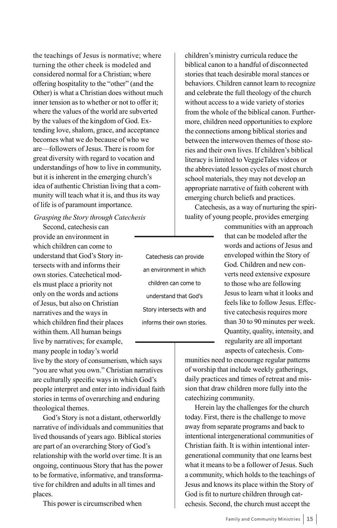the teachings of Jesus is normative; where turning the other cheek is modeled and considered normal for a Christian; where offering hospitality to the "other" (and the Other) is what a Christian does without much inner tension as to whether or not to offer it; where the values of the world are subverted by the values of the kingdom of God. Extending love, shalom, grace, and acceptance becomes what we do because of who we are—followers of Jesus. There is room for great diversity with regard to vocation and understandings of how to live in community, but it is inherent in the emerging church's idea of authentic Christian living that a community will teach what it is, and thus its way of life is of paramount importance.

#### *Grasping the Story through Catechesis*

Second, catechesis can provide an environment in which children can come to understand that God's Story intersects with and informs their own stories. Catechetical models must place a priority not only on the words and actions of Jesus, but also on Christian narratives and the ways in which children find their places within them. All human beings live by narratives; for example, many people in today's world

live by the story of consumerism, which says "you are what you own." Christian narratives are culturally specific ways in which God's people interpret and enter into individual faith stories in terms of overarching and enduring theological themes.

God's Story is not a distant, otherworldly narrative of individuals and communities that lived thousands of years ago. Biblical stories are part of an overarching Story of God's relationship with the world over time. It is an ongoing, continuous Story that has the power to be formative, informative, and transformative for children and adults in all times and places.

This power is circumscribed when

children's ministry curricula reduce the biblical canon to a handful of disconnected stories that teach desirable moral stances or behaviors. Children cannot learn to recognize and celebrate the full theology of the church without access to a wide variety of stories from the whole of the biblical canon. Furthermore, children need opportunities to explore the connections among biblical stories and between the interwoven themes of those stories and their own lives. If children's biblical literacy is limited to VeggieTales videos or the abbreviated lesson cycles of most church school materials, they may not develop an appropriate narrative of faith coherent with emerging church beliefs and practices.

Catechesis, as a way of nurturing the spirituality of young people, provides emerging

> communities with an approach that can be modeled after the words and actions of Jesus and enveloped within the Story of God. Children and new converts need extensive exposure to those who are following Jesus to learn what it looks and feels like to follow Jesus. Effective catechesis requires more than 30 to 90 minutes per week. Quantity, quality, intensity, and regularity are all important aspects of catechesis. Com-

munities need to encourage regular patterns of worship that include weekly gatherings, daily practices and times of retreat and mission that draw children more fully into the catechizing community.

Herein lay the challenges for the church today. First, there is the challenge to move away from separate programs and back to intentional intergenerational communities of Christian faith. It is within intentional intergenerational community that one learns best what it means to be a follower of Jesus. Such a community, which holds to the teachings of Jesus and knows its place within the Story of God is fit to nurture children through catechesis. Second, the church must accept the

Catechesis can provide an environment in which children can come to understand that God's Story intersects with and informs their own stories.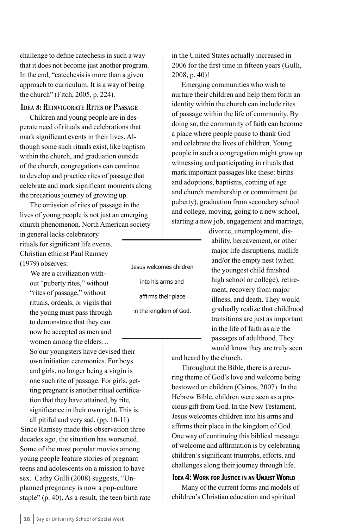challenge to define catechesis in such a way that it does not become just another program. In the end, "catechesis is more than a given approach to curriculum. It is a way of being the church" (Fitch, 2005, p. 224).

#### **Idea 3: Reinvigorate Rites of Passage**

Children and young people are in desperate need of rituals and celebrations that mark significant events in their lives. Although some such rituals exist, like baptism within the church, and graduation outside of the church, congregations can continue to develop and practice rites of passage that celebrate and mark significant moments along the precarious journey of growing up.

The omission of rites of passage in the lives of young people is not just an emerging church phenomenon. North American society

in general lacks celebratory rituals for significant life events. Christian ethicist Paul Ramsey (1979) observes:

> We are a civilization without "puberty rites," without "rites of passage," without rituals, ordeals, or vigils that the young must pass through to demonstrate that they can now be accepted as men and

women among the elders… So our youngsters have devised their own initiation ceremonies. For boys and girls, no longer being a virgin is one such rite of passage. For girls, getting pregnant is another ritual certification that they have attained, by rite, significance in their own right. This is

all pitiful and very sad. (pp. 10-11) Since Ramsey made this observation three decades ago, the situation has worsened. Some of the most popular movies among young people feature stories of pregnant teens and adolescents on a mission to have sex. Cathy Gulli (2008) suggests, "Unplanned pregnancy is now a pop-culture staple" (p. 40). As a result, the teen birth rate in the United States actually increased in 2006 for the first time in fifteen years (Gulli, 2008, p. 40)!

Emerging communities who wish to nurture their children and help them form an identity within the church can include rites of passage within the life of community. By doing so, the community of faith can become a place where people pause to thank God and celebrate the lives of children. Young people in such a congregation might grow up witnessing and participating in rituals that mark important passages like these: births and adoptions, baptisms, coming of age and church membership or commitment (at puberty), graduation from secondary school and college, moving, going to a new school, starting a new job, engagement and marriage,

> divorce, unemployment, disability, bereavement, or other major life disruptions, midlife and/or the empty nest (when the youngest child finished high school or college), retirement, recovery from major illness, and death. They would gradually realize that childhood transitions are just as important in the life of faith as are the passages of adulthood. They would know they are truly seen

and heard by the church.

Throughout the Bible, there is a recurring theme of God's love and welcome being bestowed on children (Csinos, 2007). In the Hebrew Bible, children were seen as a precious gift from God. In the New Testament, Jesus welcomes children into his arms and affirms their place in the kingdom of God. One way of continuing this biblical message of welcome and affirmation is by celebrating children's significant triumphs, efforts, and challenges along their journey through life.

## **IDEA 4: WORK FOR JUSTICE IN AN UNJUST WORLD**

Many of the current forms and models of children's Christian education and spiritual

into his arms and affirms their place in the kingdom of God.

Jesus welcomes children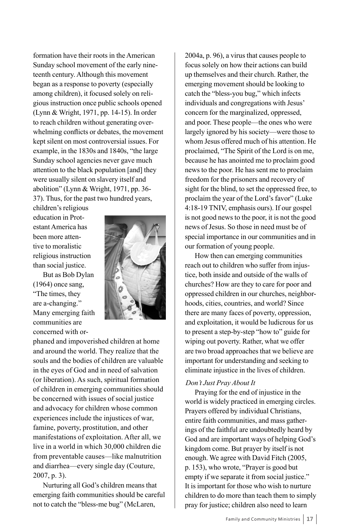formation have their roots in the American Sunday school movement of the early nineteenth century. Although this movement began as a response to poverty (especially among children), it focused solely on religious instruction once public schools opened (Lynn & Wright, 1971, pp. 14-15). In order to reach children without generating overwhelming conflicts or debates, the movement kept silent on most controversial issues. For example, in the 1830s and 1840s, "the large Sunday school agencies never gave much attention to the black population [and] they were usually silent on slavery itself and abolition" (Lynn & Wright, 1971, pp. 36- 37). Thus, for the past two hundred years,

children's religious education in Protestant America has been more attentive to moralistic religious instruction than social justice.

But as Bob Dylan (1964) once sang, "The times, they are a-changing." Many emerging faith communities are concerned with or-



phaned and impoverished children at home and around the world. They realize that the souls and the bodies of children are valuable in the eyes of God and in need of salvation (or liberation). As such, spiritual formation of children in emerging communities should be concerned with issues of social justice and advocacy for children whose common experiences include the injustices of war, famine, poverty, prostitution, and other manifestations of exploitation. After all, we live in a world in which 30,000 children die from preventable causes—like malnutrition and diarrhea—every single day (Couture, 2007, p. 3).

Nurturing all God's children means that emerging faith communities should be careful not to catch the "bless-me bug" (McLaren,

2004a, p. 96), a virus that causes people to focus solely on how their actions can build up themselves and their church. Rather, the emerging movement should be looking to catch the "bless-you bug," which infects individuals and congregations with Jesus' concern for the marginalized, oppressed, and poor. These people—the ones who were largely ignored by his society—were those to whom Jesus offered much of his attention. He proclaimed, "The Spirit of the Lord is on me, because he has anointed me to proclaim good news to the poor. He has sent me to proclaim freedom for the prisoners and recovery of sight for the blind, to set the oppressed free, to proclaim the year of the Lord's favor" (Luke 4:18-19 TNIV, emphasis ours). If our gospel is not good news to the poor, it is not the good news of Jesus. So those in need must be of special importance in our communities and in our formation of young people.

How then can emerging communities reach out to children who suffer from injustice, both inside and outside of the walls of churches? How are they to care for poor and oppressed children in our churches, neighborhoods, cities, countries, and world? Since there are many faces of poverty, oppression, and exploitation, it would be ludicrous for us to present a step-by-step "how to" guide for wiping out poverty. Rather, what we offer are two broad approaches that we believe are important for understanding and seeking to eliminate injustice in the lives of children.

## *Don't Just Pray About It*

Praying for the end of injustice in the world is widely practiced in emerging circles. Prayers offered by individual Christians, entire faith communities, and mass gatherings of the faithful are undoubtedly heard by God and are important ways of helping God's kingdom come. But prayer by itself is not enough. We agree with David Fitch (2005, p. 153), who wrote, "Prayer is good but empty if we separate it from social justice." It is important for those who wish to nurture children to do more than teach them to simply pray for justice; children also need to learn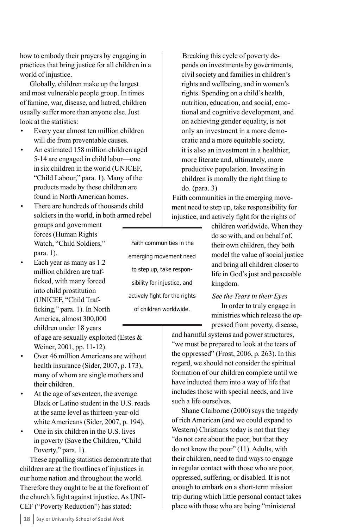how to embody their prayers by engaging in practices that bring justice for all children in a world of injustice.

Globally, children make up the largest and most vulnerable people group. In times of famine, war, disease, and hatred, children usually suffer more than anyone else. Just look at the statistics:

- Every year almost ten million children will die from preventable causes.
- An estimated 158 million children aged 5-14 are engaged in child labor—one in six children in the world (UNICEF, "Child Labour," para. 1). Many of the products made by these children are found in North American homes.
- There are hundreds of thousands child soldiers in the world, in both armed rebel groups and government forces (Human Rights Watch, "Child Soldiers," para. 1).
- Each year as many as 1.2 million children are trafficked, with many forced into child prostitution (UNICEF, "Child Trafficking," para. 1). In North America, almost 300,000 children under 18 years of age are sexually exploited (Estes & Weiner, 2001, pp. 11-12).
- Over 46 million Americans are without health insurance (Sider, 2007, p. 173), many of whom are single mothers and their children.
- At the age of seventeen, the average Black or Latino student in the U.S. reads at the same level as thirteen-year-old white Americans (Sider, 2007, p. 194).
- One in six children in the U.S. lives in poverty (Save the Children, "Child Poverty," para. 1).

These appalling statistics demonstrate that children are at the frontlines of injustices in our home nation and throughout the world. Therefore they ought to be at the forefront of the church's fight against injustice. As UNI-CEF ("Poverty Reduction") has stated:

Faith communities in the emerging movement need to step up, take responsibility for injustice, and actively fight for the rights of children worldwide.

Breaking this cycle of poverty depends on investments by governments, civil society and families in children's rights and wellbeing, and in women's rights. Spending on a child's health, nutrition, education, and social, emotional and cognitive development, and on achieving gender equality, is not only an investment in a more democratic and a more equitable society, it is also an investment in a healthier, more literate and, ultimately, more productive population. Investing in children is morally the right thing to do. (para. 3)

Faith communities in the emerging movement need to step up, take responsibility for injustice, and actively fight for the rights of

> children worldwide. When they do so with, and on behalf of, their own children, they both model the value of social justice and bring all children closer to life in God's just and peaceable kingdom.

## *See the Tears in their Eyes*

In order to truly engage in ministries which release the oppressed from poverty, disease,

and harmful systems and power structures, "we must be prepared to look at the tears of the oppressed" (Frost, 2006, p. 263). In this regard, we should not consider the spiritual formation of our children complete until we have inducted them into a way of life that includes those with special needs, and live such a life ourselves.

Shane Claiborne (2000) says the tragedy of rich American (and we could expand to Western) Christians today is not that they "do not care about the poor, but that they do not know the poor" (11). Adults, with their children, need to find ways to engage in regular contact with those who are poor, oppressed, suffering, or disabled. It is not enough to embark on a short-term mission trip during which little personal contact takes place with those who are being "ministered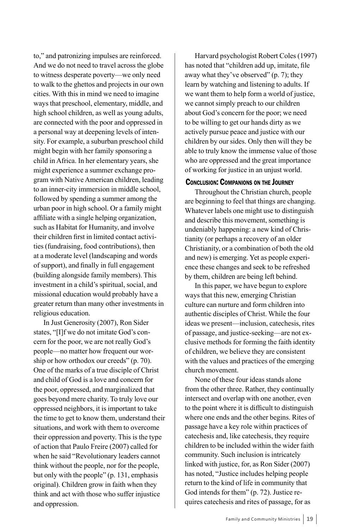to," and patronizing impulses are reinforced. And we do not need to travel across the globe to witness desperate poverty—we only need to walk to the ghettos and projects in our own cities. With this in mind we need to imagine ways that preschool, elementary, middle, and high school children, as well as young adults, are connected with the poor and oppressed in a personal way at deepening levels of intensity. For example, a suburban preschool child might begin with her family sponsoring a child in Africa. In her elementary years, she might experience a summer exchange program with Native American children, leading to an inner-city immersion in middle school, followed by spending a summer among the urban poor in high school. Or a family might affiliate with a single helping organization, such as Habitat for Humanity, and involve their children first in limited contact activities (fundraising, food contributions), then at a moderate level (landscaping and words of support), and finally in full engagement (building alongside family members). This investment in a child's spiritual, social, and missional education would probably have a greater return than many other investments in religious education.

In Just Generosity (2007), Ron Sider states, "[I]f we do not imitate God's concern for the poor, we are not really God's people—no matter how frequent our worship or how orthodox our creeds" (p. 70). One of the marks of a true disciple of Christ and child of God is a love and concern for the poor, oppressed, and marginalized that goes beyond mere charity. To truly love our oppressed neighbors, it is important to take the time to get to know them, understand their situations, and work with them to overcome their oppression and poverty. This is the type of action that Paulo Freire (2007) called for when he said "Revolutionary leaders cannot think without the people, nor for the people, but only with the people" (p. 131, emphasis original). Children grow in faith when they think and act with those who suffer injustice and oppression.

Harvard psychologist Robert Coles (1997) has noted that "children add up, imitate, file away what they've observed" (p. 7); they learn by watching and listening to adults. If we want them to help form a world of justice, we cannot simply preach to our children about God's concern for the poor; we need to be willing to get our hands dirty as we actively pursue peace and justice with our children by our sides. Only then will they be able to truly know the immense value of those who are oppressed and the great importance of working for justice in an unjust world.

## Conclusion: Companions on the Journey

Throughout the Christian church, people are beginning to feel that things are changing. Whatever labels one might use to distinguish and describe this movement, something is undeniably happening: a new kind of Christianity (or perhaps a recovery of an older Christianity, or a combination of both the old and new) is emerging. Yet as people experience these changes and seek to be refreshed by them, children are being left behind.

In this paper, we have begun to explore ways that this new, emerging Christian culture can nurture and form children into authentic disciples of Christ. While the four ideas we present—inclusion, catechesis, rites of passage, and justice-seeking—are not exclusive methods for forming the faith identity of children, we believe they are consistent with the values and practices of the emerging church movement.

None of these four ideas stands alone from the other three. Rather, they continually intersect and overlap with one another, even to the point where it is difficult to distinguish where one ends and the other begins. Rites of passage have a key role within practices of catechesis and, like catechesis, they require children to be included within the wider faith community. Such inclusion is intricately linked with justice, for, as Ron Sider (2007) has noted, "Justice includes helping people return to the kind of life in community that God intends for them" (p. 72). Justice requires catechesis and rites of passage, for as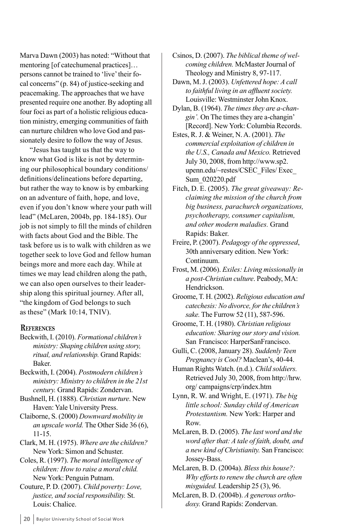Marva Dawn (2003) has noted: "Without that mentoring [of catechumenal practices]… persons cannot be trained to 'live' their focal concerns" (p. 84) of justice-seeking and peacemaking. The approaches that we have presented require one another. By adopting all four foci as part of a holistic religious education ministry, emerging communities of faith can nurture children who love God and passionately desire to follow the way of Jesus.

"Jesus has taught us that the way to know what God is like is not by determining our philosophical boundary conditions/ definitions/delineations before departing, but rather the way to know is by embarking on an adventure of faith, hope, and love, even if you don't know where your path will lead" (McLaren, 2004b, pp. 184-185). Our job is not simply to fill the minds of children with facts about God and the Bible. The task before us is to walk with children as we together seek to love God and fellow human beings more and more each day. While at times we may lead children along the path, we can also open ourselves to their leadership along this spiritual journey. After all, "the kingdom of God belongs to such as these" (Mark 10:14, TNIV).

#### **References**

- Beckwith, I. (2010). *Formational children's ministry: Shaping children using story, ritual, and relationship.* Grand Rapids: Baker.
- Beckwith, I. (2004). *Postmodern children's ministry: Ministry to children in the 21st century.* Grand Rapids: Zondervan.
- Bushnell, H. (1888). *Christian nurture.* New Haven: Yale University Press.
- Claiborne, S. (2000) *Downward mobility in an upscale world.* The Other Side 36 (6), 11-15.
- Clark, M. H. (1975). *Where are the children?* New York: Simon and Schuster.
- Coles, R. (1997). *The moral intelligence of children: How to raise a moral child.* New York: Penguin Putnam.
- Couture, P. D. (2007). *Child poverty: Love, justice, and social responsibility.* St. Louis: Chalice.
- Csinos, D. (2007). *The biblical theme of welcoming children.* McMaster Journal of Theology and Ministry 8, 97-117.
- Dawn, M. J. (2003). *Unfettered hope: A call to faithful living in an affluent society.* Louisville: Westminster John Knox.
- Dylan, B. (1964). *The times they are a-changin'.* On The times they are a-changin' [Record]. New York: Columbia Records.
- Estes, R. J. & Weiner, N. A. (2001). *The commercial exploitation of children in the U.S., Canada and Mexico.* Retrieved July 30, 2008, from http://www.sp2. upenn.edu/~restes/CSEC\_Files/ Exec\_ Sum\_020220.pdf
- Fitch, D. E. (2005). *The great giveaway: Reclaiming the mission of the church from big business, parachurch organizations, psychotherapy, consumer capitalism, and other modern maladies.* Grand Rapids: Baker.
- Freire, P. (2007). *Pedagogy of the oppressed*, 30th anniversary edition. New York: Continuum.
- Frost, M. (2006). *Exiles: Living missionally in a post-Christian culture*. Peabody, MA: Hendrickson.
- Groome, T. H. (2002). *Religious education and catechesis: No divorce, for the children's sake.* The Furrow 52 (11), 587-596.
- Groome, T. H. (1980). *Christian religious education: Sharing our story and vision.* San Francisco: HarperSanFrancisco.
- Gulli, C. (2008, January 28). *Suddenly Teen Pregnancy is Cool?* Maclean's, 40-44.
- Human Rights Watch. (n.d.). *Child soldiers.* Retrieved July 30, 2008, from http://hrw. org/ campaigns/crp/index.htm
- Lynn, R. W. and Wright, E. (1971). *The big little school: Sunday child of American Protestantism.* New York: Harper and Row.
- McLaren, B. D. (2005). *The last word and the word after that: A tale of faith, doubt, and a new kind of Christianity.* San Francisco: Jossey-Bass.
- McLaren, B. D. (2004a). *Bless this house?: Why efforts to renew the church are often misguided.* Leadership 25 (3), 96.
- McLaren, B. D. (2004b). *A generous orthodoxy.* Grand Rapids: Zondervan.